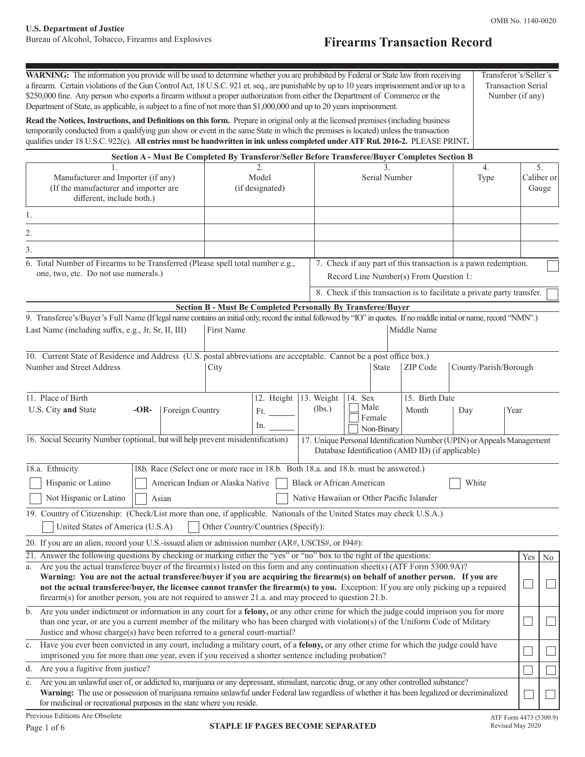# **U.S. Department of Justice**

## **Firearms Transaction Record**

| WARNING: The information you provide will be used to determine whether you are prohibited by Federal or State law from receiving<br>a firearm. Certain violations of the Gun Control Act, 18 U.S.C. 921 et. seq., are punishable by up to 10 years imprisonment and/or up to a<br>\$250,000 fine. Any person who exports a firearm without a proper authorization from either the Department of Commerce or the<br>Department of State, as applicable, is subject to a fine of not more than \$1,000,000 and up to 20 years imprisonment. |                                                                                                                                                                                     |                                                                                                                            |                              |                |                          | Transferor's/Seller's<br><b>Transaction Serial</b><br>Number (if any) |                          |                  |
|-------------------------------------------------------------------------------------------------------------------------------------------------------------------------------------------------------------------------------------------------------------------------------------------------------------------------------------------------------------------------------------------------------------------------------------------------------------------------------------------------------------------------------------------|-------------------------------------------------------------------------------------------------------------------------------------------------------------------------------------|----------------------------------------------------------------------------------------------------------------------------|------------------------------|----------------|--------------------------|-----------------------------------------------------------------------|--------------------------|------------------|
| Read the Notices, Instructions, and Definitions on this form. Prepare in original only at the licensed premises (including business<br>temporarily conducted from a qualifying gun show or event in the same State in which the premises is located) unless the transaction<br>qualifies under 18 U.S.C. 922(c). All entries must be handwritten in ink unless completed under ATF Rul. 2016-2. PLEASE PRINT.                                                                                                                             |                                                                                                                                                                                     |                                                                                                                            |                              |                |                          |                                                                       |                          |                  |
|                                                                                                                                                                                                                                                                                                                                                                                                                                                                                                                                           | Section A - Must Be Completed By Transferor/Seller Before Transferee/Buyer Completes Section B                                                                                      |                                                                                                                            |                              |                |                          |                                                                       |                          |                  |
| Manufacturer and Importer (if any)<br>(If the manufacturer and importer are<br>different, include both.)                                                                                                                                                                                                                                                                                                                                                                                                                                  | 2.<br>Model<br>(if designated)                                                                                                                                                      | 3.<br>Serial Number                                                                                                        |                              |                | $\overline{4}$ .<br>Type |                                                                       | Gauge                    | 5.<br>Caliber or |
| 1.                                                                                                                                                                                                                                                                                                                                                                                                                                                                                                                                        |                                                                                                                                                                                     |                                                                                                                            |                              |                |                          |                                                                       |                          |                  |
| 2.                                                                                                                                                                                                                                                                                                                                                                                                                                                                                                                                        |                                                                                                                                                                                     |                                                                                                                            |                              |                |                          |                                                                       |                          |                  |
| 3.                                                                                                                                                                                                                                                                                                                                                                                                                                                                                                                                        |                                                                                                                                                                                     |                                                                                                                            |                              |                |                          |                                                                       |                          |                  |
| 6. Total Number of Firearms to be Transferred (Please spell total number e.g.,<br>one, two, etc. Do not use numerals.)                                                                                                                                                                                                                                                                                                                                                                                                                    | 7. Check if any part of this transaction is a pawn redemption.<br>Record Line Number(s) From Question 1:<br>8. Check if this transaction is to facilitate a private party transfer. |                                                                                                                            |                              |                |                          |                                                                       |                          |                  |
|                                                                                                                                                                                                                                                                                                                                                                                                                                                                                                                                           |                                                                                                                                                                                     |                                                                                                                            |                              |                |                          |                                                                       |                          |                  |
| 9. Transferee's/Buyer's Full Name (If legal name contains an initial only, record the initial followed by "IO" in quotes. If no middle initial or name, record "NMN".)                                                                                                                                                                                                                                                                                                                                                                    | <b>Section B - Must Be Completed Personally By Transferee/Buyer</b>                                                                                                                 |                                                                                                                            |                              |                |                          |                                                                       |                          |                  |
| Last Name (including suffix, e.g., Jr, Sr, II, III)                                                                                                                                                                                                                                                                                                                                                                                                                                                                                       | First Name                                                                                                                                                                          |                                                                                                                            |                              | Middle Name    |                          |                                                                       |                          |                  |
| 10. Current State of Residence and Address (U.S. postal abbreviations are acceptable. Cannot be a post office box.)<br>Number and Street Address                                                                                                                                                                                                                                                                                                                                                                                          | City                                                                                                                                                                                |                                                                                                                            | <b>State</b>                 | ZIP Code       | County/Parish/Borough    |                                                                       |                          |                  |
| 11. Place of Birth                                                                                                                                                                                                                                                                                                                                                                                                                                                                                                                        | 12. Height                                                                                                                                                                          | 13. Weight<br>14. Sex                                                                                                      |                              | 15. Birth Date |                          |                                                                       |                          |                  |
| U.S. City and State<br>$-OR-$<br>Foreign Country                                                                                                                                                                                                                                                                                                                                                                                                                                                                                          | Ft.<br>In. $\qquad$                                                                                                                                                                 | (lbs.)                                                                                                                     | Male<br>Female<br>Non-Binary | Month          | Day                      | Year                                                                  |                          |                  |
| 16. Social Security Number (optional, but will help prevent misidentification)                                                                                                                                                                                                                                                                                                                                                                                                                                                            |                                                                                                                                                                                     | 17. Unique Personal Identification Number (UPIN) or Appeals Management<br>Database Identification (AMD ID) (if applicable) |                              |                |                          |                                                                       |                          |                  |
| 18.a. Ethnicity<br>Hispanic or Latino<br>Not Hispanic or Latino<br>Asian<br>19. Country of Citizenship: (Check/List more than one, if applicable. Nationals of the United States may check U.S.A.)                                                                                                                                                                                                                                                                                                                                        | 18.b. Race (Select one or more race in 18.b. Both 18.a. and 18.b. must be answered.)<br>American Indian or Alaska Native                                                            | Black or African American<br>Native Hawaiian or Other Pacific Islander                                                     |                              |                | White                    |                                                                       |                          |                  |
| United States of America (U.S.A)                                                                                                                                                                                                                                                                                                                                                                                                                                                                                                          | Other Country/Countries (Specify):                                                                                                                                                  |                                                                                                                            |                              |                |                          |                                                                       |                          |                  |
| 20. If you are an alien, record your U.S.-issued alien or admission number (AR#, USCIS#, or I94#):                                                                                                                                                                                                                                                                                                                                                                                                                                        |                                                                                                                                                                                     |                                                                                                                            |                              |                |                          |                                                                       |                          |                  |
| 21. Answer the following questions by checking or marking either the "yes" or "no" box to the right of the questions:<br>a. Are you the actual transferee/buyer of the firearm(s) listed on this form and any continuation sheet(s) (ATF Form 5300.9A)?<br>Warning: You are not the actual transferee/buyer if you are acquiring the firearm(s) on behalf of another person. If you are<br>not the actual transferee/buyer, the licensee cannot transfer the firearm(s) to you. Exception: If you are only picking up a repaired          |                                                                                                                                                                                     |                                                                                                                            |                              |                |                          |                                                                       | Yes                      | No               |
| firearm(s) for another person, you are not required to answer 21.a. and may proceed to question 21.b.                                                                                                                                                                                                                                                                                                                                                                                                                                     |                                                                                                                                                                                     |                                                                                                                            |                              |                |                          |                                                                       |                          |                  |
| b. Are you under indictment or information in any court for a felony, or any other crime for which the judge could imprison you for more<br>than one year, or are you a current member of the military who has been charged with violation(s) of the Uniform Code of Military<br>Justice and whose charge(s) have been referred to a general court-martial?                                                                                                                                                                               |                                                                                                                                                                                     |                                                                                                                            |                              |                |                          |                                                                       | $\overline{\phantom{a}}$ |                  |
| c. Have you ever been convicted in any court, including a military court, of a felony, or any other crime for which the judge could have<br>imprisoned you for more than one year, even if you received a shorter sentence including probation?                                                                                                                                                                                                                                                                                           |                                                                                                                                                                                     |                                                                                                                            |                              |                |                          |                                                                       |                          |                  |
| Are you a fugitive from justice?<br>d.                                                                                                                                                                                                                                                                                                                                                                                                                                                                                                    |                                                                                                                                                                                     |                                                                                                                            |                              |                |                          |                                                                       |                          |                  |
| Are you an unlawful user of, or addicted to, marijuana or any depressant, stimulant, narcotic drug, or any other controlled substance?<br>e.<br>Warning: The use or possession of marijuana remains unlawful under Federal law regardless of whether it has been legalized or decriminalized<br>for medicinal or recreational purposes in the state where you reside.                                                                                                                                                                     |                                                                                                                                                                                     |                                                                                                                            |                              |                |                          |                                                                       |                          |                  |
| Previous Editions Are Obsolete                                                                                                                                                                                                                                                                                                                                                                                                                                                                                                            |                                                                                                                                                                                     |                                                                                                                            |                              |                |                          | ATF Form 4473 (5300.9)                                                |                          |                  |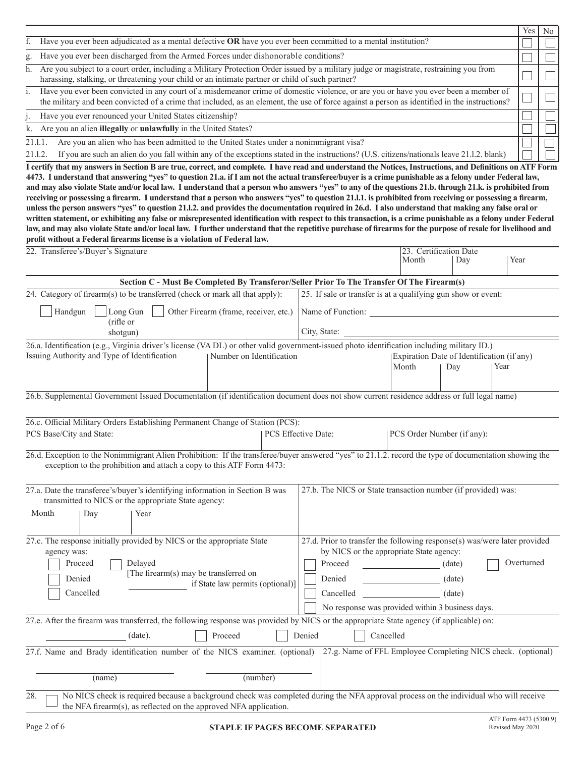|         |                                                                                                                                                                                                                                                                                      | Yes | N <sub>0</sub> |  |  |
|---------|--------------------------------------------------------------------------------------------------------------------------------------------------------------------------------------------------------------------------------------------------------------------------------------|-----|----------------|--|--|
|         | Have you ever been adjudicated as a mental defective OR have you ever been committed to a mental institution?                                                                                                                                                                        |     |                |  |  |
| g.      | Have you ever been discharged from the Armed Forces under dishonorable conditions?                                                                                                                                                                                                   |     |                |  |  |
| h.      | Are you subject to a court order, including a Military Protection Order issued by a military judge or magistrate, restraining you from<br>harassing, stalking, or threatening your child or an intimate partner or child of such partner?                                            |     |                |  |  |
|         | Have you ever been convicted in any court of a misdemeanor crime of domestic violence, or are you or have you ever been a member of<br>the military and been convicted of a crime that included, as an element, the use of force against a person as identified in the instructions? |     |                |  |  |
|         | Have you ever renounced your United States citizenship?                                                                                                                                                                                                                              |     |                |  |  |
|         | k. Are you an alien illegally or unlawfully in the United States?                                                                                                                                                                                                                    |     |                |  |  |
| 21.1.1  | Are you an alien who has been admitted to the United States under a nonimmigrant visa?                                                                                                                                                                                               |     |                |  |  |
| 21.1.2. | If you are such an alien do you fall within any of the exceptions stated in the instructions? (U.S. citizens/nationals leave 21.1.2. blank)                                                                                                                                          |     |                |  |  |

**I certify that my answers in Section B are true, correct, and complete. I have read and understand the Notices, Instructions, and Definitions on ATF Form 4473. I understand that answering "yes" to question 21.a. if I am not the actual transferee/buyer is a crime punishable as a felony under Federal law, and may also violate State and/or local law. I understand that a person who answers "yes" to any of the questions 21.b. through 21.k. is prohibited from receiving or possessing a firearm. I understand that a person who answers "yes" to question 21.l.1. is prohibited from receiving or possessing a firearm, unless the person answers "yes" to question 21.l.2. and provides the documentation required in 26.d. I also understand that making any false oral or written statement, or exhibiting any false or misrepresented identification with respect to this transaction, is a crime punishable as a felony under Federal law, and may also violate State and/or local law. I further understand that the repetitive purchase of firearms for the purpose of resale for livelihood and profit without a Federal firearms license is a violation of Federal law.**<br> **profit without a Simple Simple Simple Simple Simple Simple Simple Simple Simple Simple Simple Simple Simple Simple Simple Simple Simple Simple Si** 

| 22. Transferee's/Buyer's Signature                                                                                                                                                                                                               |  | 23. Certification Date<br>Month                                                                                                                                                                             | Day                        | Year                       |            |  |  |  |
|--------------------------------------------------------------------------------------------------------------------------------------------------------------------------------------------------------------------------------------------------|--|-------------------------------------------------------------------------------------------------------------------------------------------------------------------------------------------------------------|----------------------------|----------------------------|------------|--|--|--|
| Section C - Must Be Completed By Transferor/Seller Prior To The Transfer Of The Firearm(s)                                                                                                                                                       |  |                                                                                                                                                                                                             |                            |                            |            |  |  |  |
| 24. Category of firearm(s) to be transferred (check or mark all that apply):                                                                                                                                                                     |  | 25. If sale or transfer is at a qualifying gun show or event:                                                                                                                                               |                            |                            |            |  |  |  |
| Long Gun<br>Other Firearm (frame, receiver, etc.)<br>Handgun                                                                                                                                                                                     |  | Name of Function:                                                                                                                                                                                           |                            |                            |            |  |  |  |
| (rifle or<br>shotgun)                                                                                                                                                                                                                            |  | City, State:                                                                                                                                                                                                |                            |                            |            |  |  |  |
| 26.a. Identification (e.g., Virginia driver's license (VA DL) or other valid government-issued photo identification including military ID.)<br>Issuing Authority and Type of Identification<br>  Number on Identification                        |  | Expiration Date of Identification (if any)<br>Month<br>Year<br>Day                                                                                                                                          |                            |                            |            |  |  |  |
| 26.b. Supplemental Government Issued Documentation (if identification document does not show current residence address or full legal name)                                                                                                       |  |                                                                                                                                                                                                             |                            |                            |            |  |  |  |
| 26.c. Official Military Orders Establishing Permanent Change of Station (PCS):<br>PCS Base/City and State:                                                                                                                                       |  | PCS Effective Date:                                                                                                                                                                                         | PCS Order Number (if any): |                            |            |  |  |  |
| 26.d. Exception to the Nonimmigrant Alien Prohibition: If the transferee/buyer answered "yes" to 21.1.2, record the type of documentation showing the<br>exception to the prohibition and attach a copy to this ATF Form 4473:                   |  |                                                                                                                                                                                                             |                            |                            |            |  |  |  |
| 27.a. Date the transferee's/buyer's identifying information in Section B was<br>transmitted to NICS or the appropriate State agency:                                                                                                             |  | 27.b. The NICS or State transaction number (if provided) was:                                                                                                                                               |                            |                            |            |  |  |  |
| Month<br>Day<br>Year                                                                                                                                                                                                                             |  |                                                                                                                                                                                                             |                            |                            |            |  |  |  |
| 27.c. The response initially provided by NICS or the appropriate State<br>agency was:<br>Proceed<br>Delayed<br>[The firearm(s) may be transferred on<br>Denied<br>if State law permits (optional)]<br>Cancelled                                  |  | 27.d. Prior to transfer the following response(s) was/were later provided<br>by NICS or the appropriate State agency:<br>Proceed<br>Denied<br>Cancelled<br>No response was provided within 3 business days. |                            | (date)<br>(date)<br>(date) | Overturned |  |  |  |
| 27.e. After the firearm was transferred, the following response was provided by NICS or the appropriate State agency (if applicable) on:<br>Proceed<br>$(data)$ .<br>27.f. Name and Brady identification number of the NICS examiner. (optional) |  | Denied<br>27.g. Name of FFL Employee Completing NICS check. (optional)                                                                                                                                      | Cancelled                  |                            |            |  |  |  |
| (number)<br>(name)                                                                                                                                                                                                                               |  |                                                                                                                                                                                                             |                            |                            |            |  |  |  |
| No NICS check is required because a background check was completed during the NFA approval process on the individual who will receive<br>28.<br>the NFA firearm(s), as reflected on the approved NFA application.                                |  |                                                                                                                                                                                                             |                            |                            |            |  |  |  |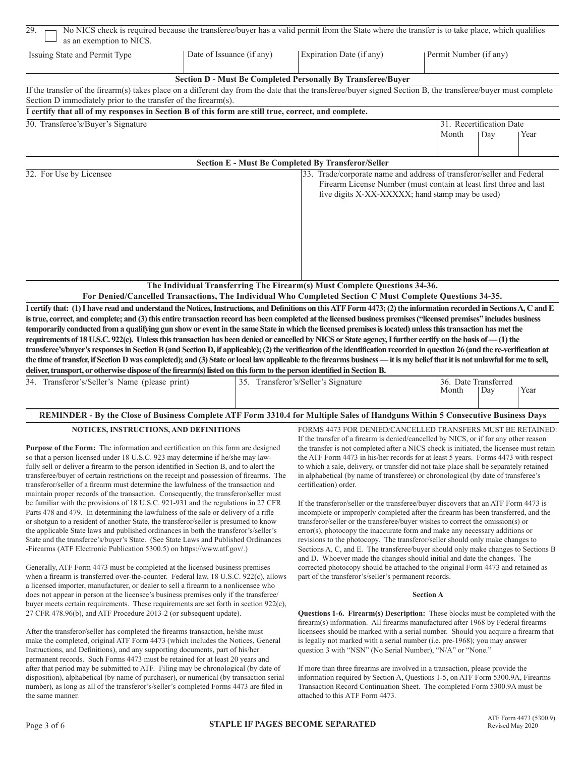| 29.<br>as an exemption to NICS.                                                                                                                                                                                                                                                                                                                                                                                                                                                                                                                                                                                                                                                                                                                                                                                                                                                                                                                                                                                                                                                                                                                                                                                                                                                          |                           |  | No NICS check is required because the transferee/buyer has a valid permit from the State where the transfer is to take place, which qualifies                                                                                                                                                                                                                                                                                                                                                                                                                                                                                                                                                                                                                                                                                                                                                                                                                                                                                                                                                                                                                                                                                                                                            |  |                        |                          |      |  |
|------------------------------------------------------------------------------------------------------------------------------------------------------------------------------------------------------------------------------------------------------------------------------------------------------------------------------------------------------------------------------------------------------------------------------------------------------------------------------------------------------------------------------------------------------------------------------------------------------------------------------------------------------------------------------------------------------------------------------------------------------------------------------------------------------------------------------------------------------------------------------------------------------------------------------------------------------------------------------------------------------------------------------------------------------------------------------------------------------------------------------------------------------------------------------------------------------------------------------------------------------------------------------------------|---------------------------|--|------------------------------------------------------------------------------------------------------------------------------------------------------------------------------------------------------------------------------------------------------------------------------------------------------------------------------------------------------------------------------------------------------------------------------------------------------------------------------------------------------------------------------------------------------------------------------------------------------------------------------------------------------------------------------------------------------------------------------------------------------------------------------------------------------------------------------------------------------------------------------------------------------------------------------------------------------------------------------------------------------------------------------------------------------------------------------------------------------------------------------------------------------------------------------------------------------------------------------------------------------------------------------------------|--|------------------------|--------------------------|------|--|
| Issuing State and Permit Type                                                                                                                                                                                                                                                                                                                                                                                                                                                                                                                                                                                                                                                                                                                                                                                                                                                                                                                                                                                                                                                                                                                                                                                                                                                            | Date of Issuance (if any) |  | Expiration Date (if any)                                                                                                                                                                                                                                                                                                                                                                                                                                                                                                                                                                                                                                                                                                                                                                                                                                                                                                                                                                                                                                                                                                                                                                                                                                                                 |  | Permit Number (if any) |                          |      |  |
|                                                                                                                                                                                                                                                                                                                                                                                                                                                                                                                                                                                                                                                                                                                                                                                                                                                                                                                                                                                                                                                                                                                                                                                                                                                                                          |                           |  | Section D - Must Be Completed Personally By Transferee/Buyer                                                                                                                                                                                                                                                                                                                                                                                                                                                                                                                                                                                                                                                                                                                                                                                                                                                                                                                                                                                                                                                                                                                                                                                                                             |  |                        |                          |      |  |
| If the transfer of the firearm(s) takes place on a different day from the date that the transferee/buyer signed Section B, the transferee/buyer must complete                                                                                                                                                                                                                                                                                                                                                                                                                                                                                                                                                                                                                                                                                                                                                                                                                                                                                                                                                                                                                                                                                                                            |                           |  |                                                                                                                                                                                                                                                                                                                                                                                                                                                                                                                                                                                                                                                                                                                                                                                                                                                                                                                                                                                                                                                                                                                                                                                                                                                                                          |  |                        |                          |      |  |
| Section D immediately prior to the transfer of the firearm(s).                                                                                                                                                                                                                                                                                                                                                                                                                                                                                                                                                                                                                                                                                                                                                                                                                                                                                                                                                                                                                                                                                                                                                                                                                           |                           |  |                                                                                                                                                                                                                                                                                                                                                                                                                                                                                                                                                                                                                                                                                                                                                                                                                                                                                                                                                                                                                                                                                                                                                                                                                                                                                          |  |                        |                          |      |  |
| I certify that all of my responses in Section B of this form are still true, correct, and complete.                                                                                                                                                                                                                                                                                                                                                                                                                                                                                                                                                                                                                                                                                                                                                                                                                                                                                                                                                                                                                                                                                                                                                                                      |                           |  |                                                                                                                                                                                                                                                                                                                                                                                                                                                                                                                                                                                                                                                                                                                                                                                                                                                                                                                                                                                                                                                                                                                                                                                                                                                                                          |  |                        |                          |      |  |
| 30. Transferee's/Buyer's Signature                                                                                                                                                                                                                                                                                                                                                                                                                                                                                                                                                                                                                                                                                                                                                                                                                                                                                                                                                                                                                                                                                                                                                                                                                                                       |                           |  |                                                                                                                                                                                                                                                                                                                                                                                                                                                                                                                                                                                                                                                                                                                                                                                                                                                                                                                                                                                                                                                                                                                                                                                                                                                                                          |  |                        | 31. Recertification Date |      |  |
|                                                                                                                                                                                                                                                                                                                                                                                                                                                                                                                                                                                                                                                                                                                                                                                                                                                                                                                                                                                                                                                                                                                                                                                                                                                                                          |                           |  |                                                                                                                                                                                                                                                                                                                                                                                                                                                                                                                                                                                                                                                                                                                                                                                                                                                                                                                                                                                                                                                                                                                                                                                                                                                                                          |  | Month                  | Day                      | Year |  |
|                                                                                                                                                                                                                                                                                                                                                                                                                                                                                                                                                                                                                                                                                                                                                                                                                                                                                                                                                                                                                                                                                                                                                                                                                                                                                          |                           |  | <b>Section E - Must Be Completed By Transferor/Seller</b>                                                                                                                                                                                                                                                                                                                                                                                                                                                                                                                                                                                                                                                                                                                                                                                                                                                                                                                                                                                                                                                                                                                                                                                                                                |  |                        |                          |      |  |
| 32. For Use by Licensee                                                                                                                                                                                                                                                                                                                                                                                                                                                                                                                                                                                                                                                                                                                                                                                                                                                                                                                                                                                                                                                                                                                                                                                                                                                                  |                           |  | 33. Trade/corporate name and address of transferor/seller and Federal                                                                                                                                                                                                                                                                                                                                                                                                                                                                                                                                                                                                                                                                                                                                                                                                                                                                                                                                                                                                                                                                                                                                                                                                                    |  |                        |                          |      |  |
|                                                                                                                                                                                                                                                                                                                                                                                                                                                                                                                                                                                                                                                                                                                                                                                                                                                                                                                                                                                                                                                                                                                                                                                                                                                                                          |                           |  | Firearm License Number (must contain at least first three and last<br>five digits X-XX-XXXXX; hand stamp may be used)                                                                                                                                                                                                                                                                                                                                                                                                                                                                                                                                                                                                                                                                                                                                                                                                                                                                                                                                                                                                                                                                                                                                                                    |  |                        |                          |      |  |
|                                                                                                                                                                                                                                                                                                                                                                                                                                                                                                                                                                                                                                                                                                                                                                                                                                                                                                                                                                                                                                                                                                                                                                                                                                                                                          |                           |  | The Individual Transferring The Firearm(s) Must Complete Questions 34-36.<br>For Denied/Cancelled Transactions, The Individual Who Completed Section C Must Complete Questions 34-35.                                                                                                                                                                                                                                                                                                                                                                                                                                                                                                                                                                                                                                                                                                                                                                                                                                                                                                                                                                                                                                                                                                    |  |                        |                          |      |  |
| is true, correct, and complete; and (3) this entire transaction record has been completed at the licensed business premises ("licensed premises" includes business<br>temporarily conducted from a qualifying gun show or event in the same State in which the licensed premises is located) unless this transaction has met the<br>requirements of 18 U.S.C. 922(c). Unless this transaction has been denied or cancelled by NICS or State agency, I further certify on the basis of - (1) the<br>transferee's/buyer's responses in Section B (and Section D, if applicable); (2) the verification of the identification recorded in question 26 (and the re-verification at<br>the time of transfer, if Section D was completed); and (3) State or local law applicable to the firearms business—it is my belief that it is not unlawful for me to sell,<br>deliver, transport, or otherwise dispose of the firearm(s) listed on this form to the person identified in Section B.                                                                                                                                                                                                                                                                                                      |                           |  |                                                                                                                                                                                                                                                                                                                                                                                                                                                                                                                                                                                                                                                                                                                                                                                                                                                                                                                                                                                                                                                                                                                                                                                                                                                                                          |  |                        |                          |      |  |
| 34. Transferor's/Seller's Name (please print)                                                                                                                                                                                                                                                                                                                                                                                                                                                                                                                                                                                                                                                                                                                                                                                                                                                                                                                                                                                                                                                                                                                                                                                                                                            |                           |  | 35. Transferor's/Seller's Signature                                                                                                                                                                                                                                                                                                                                                                                                                                                                                                                                                                                                                                                                                                                                                                                                                                                                                                                                                                                                                                                                                                                                                                                                                                                      |  | 36. Date Transferred   |                          |      |  |
|                                                                                                                                                                                                                                                                                                                                                                                                                                                                                                                                                                                                                                                                                                                                                                                                                                                                                                                                                                                                                                                                                                                                                                                                                                                                                          |                           |  |                                                                                                                                                                                                                                                                                                                                                                                                                                                                                                                                                                                                                                                                                                                                                                                                                                                                                                                                                                                                                                                                                                                                                                                                                                                                                          |  | Month                  | Day                      | Year |  |
| REMINDER - By the Close of Business Complete ATF Form 3310.4 for Multiple Sales of Handguns Within 5 Consecutive Business Days                                                                                                                                                                                                                                                                                                                                                                                                                                                                                                                                                                                                                                                                                                                                                                                                                                                                                                                                                                                                                                                                                                                                                           |                           |  |                                                                                                                                                                                                                                                                                                                                                                                                                                                                                                                                                                                                                                                                                                                                                                                                                                                                                                                                                                                                                                                                                                                                                                                                                                                                                          |  |                        |                          |      |  |
| NOTICES, INSTRUCTIONS, AND DEFINITIONS<br>Purpose of the Form: The information and certification on this form are designed<br>so that a person licensed under 18 U.S.C. 923 may determine if he/she may law-<br>fully sell or deliver a firearm to the person identified in Section B, and to alert the<br>transferee/buyer of certain restrictions on the receipt and possession of firearms. The<br>transferor/seller of a firearm must determine the lawfulness of the transaction and<br>maintain proper records of the transaction. Consequently, the transferor/seller must<br>be familiar with the provisions of 18 U.S.C. 921-931 and the regulations in 27 CFR<br>Parts 478 and 479. In determining the lawfulness of the sale or delivery of a rifle<br>or shotgun to a resident of another State, the transferor/seller is presumed to know<br>the applicable State laws and published ordinances in both the transferor's/seller's<br>State and the transferee's/buyer's State. (See State Laws and Published Ordinances<br>-Firearms (ATF Electronic Publication 5300.5) on https://www.atf.gov/.)<br>Generally, ATF Form 4473 must be completed at the licensed business premises<br>when a firearm is transferred over-the-counter. Federal law, 18 U.S.C. 922(c), allows |                           |  | FORMS 4473 FOR DENIED/CANCELLED TRANSFERS MUST BE RETAINED:<br>If the transfer of a firearm is denied/cancelled by NICS, or if for any other reason<br>the transfer is not completed after a NICS check is initiated, the licensee must retain<br>the ATF Form 4473 in his/her records for at least 5 years. Forms 4473 with respect<br>to which a sale, delivery, or transfer did not take place shall be separately retained<br>in alphabetical (by name of transferee) or chronological (by date of transferee's<br>certification) order.<br>If the transferor/seller or the transferee/buyer discovers that an ATF Form 4473 is<br>incomplete or improperly completed after the firearm has been transferred, and the<br>transferor/seller or the transferee/buyer wishes to correct the omission(s) or<br>error(s), photocopy the inaccurate form and make any necessary additions or<br>revisions to the photocopy. The transferor/seller should only make changes to<br>Sections A, C, and E. The transferee/buyer should only make changes to Sections B<br>and D. Whoever made the changes should initial and date the changes. The<br>corrected photocopy should be attached to the original Form 4473 and retained as<br>part of the transferor's/seller's permanent records. |  |                        |                          |      |  |
| a licensed importer, manufacturer, or dealer to sell a firearm to a nonlicensee who                                                                                                                                                                                                                                                                                                                                                                                                                                                                                                                                                                                                                                                                                                                                                                                                                                                                                                                                                                                                                                                                                                                                                                                                      |                           |  | <b>Section A</b>                                                                                                                                                                                                                                                                                                                                                                                                                                                                                                                                                                                                                                                                                                                                                                                                                                                                                                                                                                                                                                                                                                                                                                                                                                                                         |  |                        |                          |      |  |
| does not appear in person at the licensee's business premises only if the transferee/<br>buyer meets certain requirements. These requirements are set forth in section 922(c),                                                                                                                                                                                                                                                                                                                                                                                                                                                                                                                                                                                                                                                                                                                                                                                                                                                                                                                                                                                                                                                                                                           |                           |  |                                                                                                                                                                                                                                                                                                                                                                                                                                                                                                                                                                                                                                                                                                                                                                                                                                                                                                                                                                                                                                                                                                                                                                                                                                                                                          |  |                        |                          |      |  |
| 27 CFR 478.96(b), and ATF Procedure 2013-2 (or subsequent update).                                                                                                                                                                                                                                                                                                                                                                                                                                                                                                                                                                                                                                                                                                                                                                                                                                                                                                                                                                                                                                                                                                                                                                                                                       |                           |  | Questions 1-6. Firearm(s) Description: These blocks must be completed with the<br>firearm(s) information. All firearms manufactured after 1968 by Federal firearms                                                                                                                                                                                                                                                                                                                                                                                                                                                                                                                                                                                                                                                                                                                                                                                                                                                                                                                                                                                                                                                                                                                       |  |                        |                          |      |  |

make the completed, original ATF Form 4473 (which includes the Notices, General is legally not marked with a serial number (i.e. pre-1968); you instructions, and Definitions), and any supporting documents, part of his/her Instructions, and Definitions), and any supporting documents, part of his/her permanent records. Such Forms 4473 must be retained for at least 20 years and after that period may be submitted to ATF. Filing may be chronological (by date of If more than three firearms are involved in a transaction, please provide the disposition), alphabetical (by name of purchaser), or numeric disposition), alphabetical (by name of purchaser), or numerical (by transaction serial number), as long as all of the transferor 's/seller's completed Forms 4473 are filed in the same manner. **attached to this ATF Form 4473.** 

After the transferor/seller has completed the firearms transaction, he/she must<br>make the completed, original ATF Form 4473 (which includes the Notices, General is legally not marked with a serial number (i.e. pre-1968); yo

Transaction Record Continuation Sheet. The completed Form 5300.9A must be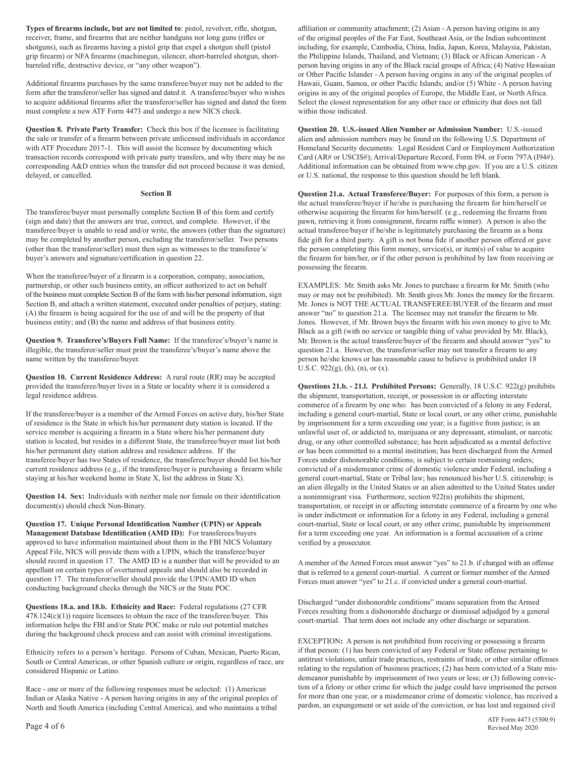**Types of firearms include, but are not limited to**: pistol, revolver, rifle, shotgun, affiliation or community attachment; (2) Asian - A person having origins in any receiver, frame, and firearms that are neither handguns nor long guns (rifles or of the original peoples of the Far East, Southeast Asia, or the Indian subcontinent grip firearm) or NFA firearms (machinegun, silencer, short-barreled shotgun, short- the Philippine Islands, Thailand, and Vietnam; (3) Black or African American - A

form after the transferor/seller has signed and dated it. A transferee/buyer who wishes origins in any of the original peoples of Europe, the Middle East, or North Africa. to acquire additional firearms after the transferor/seller has signed and dated the form Select the closest representation for any other race or ethnicity that does not fall must complete a new ATF Form 4473 and undergo a must complete a new ATF Form 4473 and undergo a new NICS check.

**Question 8. Private Party Transfer:** Check this box if the licensee is facilitating **Question 20. U.S.-issued Alien Number or Admission Number:** U.S.-issued the sale or transfer of a firearm between private unlicensed individuals in accordance alien and admission numbers may be found on the following U.S. Department of with ATF Procedure 2017-1. This will assist the licensee by documenting which Homeland Security documents: Legal Resident Card or Employment Authorization transaction records correspond with private party transfers, and wh transaction records correspond with private party transfers, and why there may be no

The transferee/buyer must personally complete Section B of this form and certify otherwise acquiring the firearm for him/herself. (e.g., redeeming the firearm from (sign and date) that the answers are true, correct, and complete. However, if the pawn, retrieving it from consignment, firearm raffle winner). A person is also the transferee/buyer is unable to read and/or write, the answ may be completed by another person, excluding the transferor/seller. Two persons fide gift for a third party. A gift is not bona fide if another person offered or gave (other than the transferor/seller) must then sign as witnesses to the transferee's/ the person completing this form money, service(s), or item(s) of value to acquire<br>buyer's answers and signature/certification in question

When the transferee/buyer of a firearm is a corporation, company, association, partnership, or other such business entity, an officer authorized to act on behalf EXAMPLES: Mr. Smith asks Mr. Jones to purchase a firearm for Mr. Smith (who of the business must complete Section B of the form with his/her personal information, sign may or may not be prohibited). Mr. Smith gives Mr. Jones the money for the firearm.<br>Section B, and attach a written statement, exe Section B, and attach a written statement, executed under penalties of perjury, stating: (A) the firearm is being acquired for the use of and will be the property of that answer "no" to question 21.a. The licensee may not transfer the firearm to Mr. business entity; and (B) the name and address of that business entity. Jones. However, if Mr. Brown buys the firearm with his own money to give to Mr.

illegible, the transferor/seller must print the transferee's/buyer's name above the question 21.a. However, the transferor/seller may not transfer a firearm to any name written by the transferee/buyer. person he/she knows or has reasonable cause to believe is prohibited under 18

**Question 10. Current Residence Address:** A rural route (RR) may be accepted legal residence address. the shipment, transportation, receipt, or possession in or affecting interstate

If the transferee/buyer is a member of the Armed Forces on active duty, his/her State including a general court-martial, State or local court, or any other crime, punishable of residence is the State in which his/her permanent duty station is located. If the by imprisonment for a term exceeding one year; is a fugitive from justice; is an service member is acquiring a firearm in a State where his/her permanent duty<br>station is located, but resides in a different State, the transferee/buyer must list both drug, or any other controlled substance; has been adju his/her permanent duty station address and residence address. If the or has been committed to a mental institution; has been discharged from the Armed transferee/buyer has two States of residence, the transferee/buyer should list his/her Forces under dishonorable conditions; is subject to certain restraining orders; current residence address (e.g., if the transferee/buyer is purchasing a firearm while convicted of a misdemeanor crime of domestic violence under Federal, including a staying at his/her weekend home in State X, list the address in State X). general court-martial, State or Tribal law; has renounced his/her U.S. citizenship; is

**Question 14. Sex:** Individuals with neither male nor female on their identification a nonimmigrant visa. Furthermore, section 922(n) prohibits the shipment, document(s) should check Non-Binary. transportation, or receipt

**Question 17. Unique Personal Identification Number (UPIN) or Appeals** court-martial, State or local court, or any other crime, punishable by imprisonment<br>**Management Database Identification (AMD ID):** For transferees/buye approved to have information maintained about them in the FBI NICS Voluntary verified by a prosecutor. Appeal File, NICS will provide them with a UPIN, which the transferee/buyer should record in question 17. The AMD ID is a number that will be provided to an<br>appellant on certain types of overturned appeals and should also be recorded in<br>question 17. The transferor/seller should provide the UPIN/AM conducting background checks through the NICS or the State POC.

during the background check process and can assist with criminal investigations.

South or Central American, or other Spanish culture or origin, regardless of race, are

North and South America (including Central America), and who maintains a tribal

shotguns), such as firearms having a pistol grip that expel a shotgun shell (pistol including, for example, Cambodia, China, India, Japan, Korea, Malaysia, Pakistan, barreled rifle, destructive device, or "any other weapon"). person having origins in any of the Black racial groups of Africa; (4) Native Hawaiian or Other Pacific Islander - A person having origins in any of the original peoples of Additional firearms purchases by the same transferee/buyer may not be added to the Hawaii, Guam, Samoa, or other Pacific Islands; and/or (5) White - A person having

corresponding A&D entries when the transfer did not proceed because it was denied, Additional information can be obtained from www.cbp.gov. If you are a U.S. citizen delayed, or cancelled.<br>
or U.S. national, the response t or U.S. national, the response to this question should be left blank.

> **Section B Question 21.a. Actual Transferee/Buyer:** For purposes of this form, a person is the actual transferee/buyer if he/she is purchasing the firearm for him/herself or actual transferee/buyer if he/she is legitimately purchasing the firearm as a bona the firearm for him/her, or if the other person is prohibited by law from receiving or possessing the firearm.

Black as a gift (with no service or tangible thing of value provided by Mr. Black), **Question 9. Transferee's/Buyers Full Name:** If the transferee's/buyer's name is Mr. Brown is the actual transferee/buyer of the firearm and should answer "yes" to U.S.C. 922(g), (h), (n), or (x).

provided the transferee/buyer lives in a State or locality where it is considered a **Questions 21.b. - 21.l. Prohibited Persons:** Generally, 18 U.S.C. 922(g) prohibits commerce of a firearm by one who: has been convicted of a felony in any Federal, drug, or any other controlled substance; has been adjudicated as a mental defective an alien illegally in the United States or an alien admitted to the United States under transportation, or receipt in or affecting interstate commerce of a firearm by one who is under indictment or information for a felony in any Federal, including a general for a term exceeding one year. An information is a formal accusation of a crime

**Questions 18.a. and 18.b. Ethnicity and Race:** Federal regulations (27 CFR<br>478.124(c)(1)) require licensees to obtain the race of the transferee/buyer. This<br>information helps the FBI and/or State POC make or rule out pote

EXCEPTION**:** A person is not prohibited from receiving or possessing a firearm Ethnicity refers to a person's heritage. Persons of Cuban, Mexican, Puerto Rican, if that person: (1) has been convicted of any Federal or State offense pertaining to<br>South or Central American, or other Spanish culture or considered Hispanic or Latino. relating to the regulation of business practices; (2) has been convicted of a State mis-<br>considered Hispanic or Latino. demeanor punishable by imprisonment of two years or less; or (3) following convic-Race - one or more of the following responses must be selected: (1) American tion of a felony or other crime for which the judge could have imprisoned the person Indian or Alaska Native - A person having origins in any of Indian or Alaska Native - A person having origins in any of the original peoples of for more than one year, or a misdemeanor crime of domestic violence, has received a<br>North and South America (including Central America), a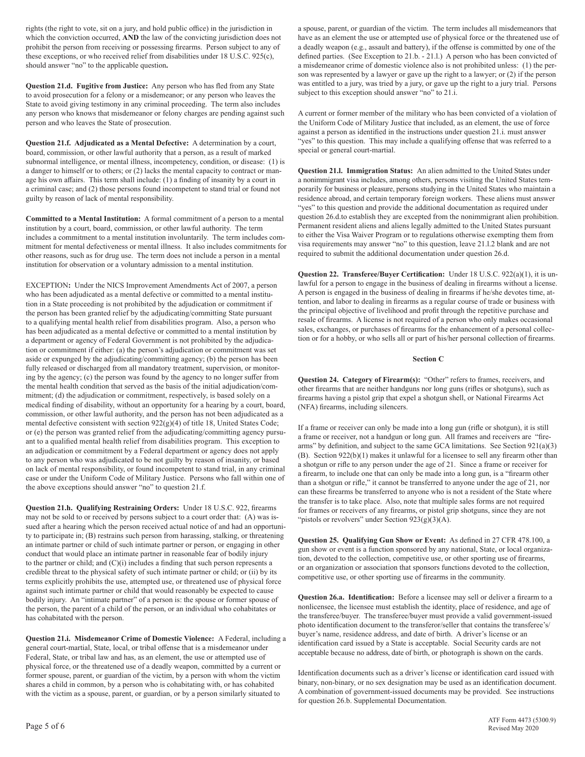to avoid prosecution for a felony or a misdemeanor; or any person who leaves the State to avoid giving testimony in any criminal proceeding. The term also includes person and who leaves the State of prosecution. the Uniform Code of Military Justice that included, as an element, the use of force

board, commission, or other lawful authority that a person, as a result of marked subnormal intelligence, or mental illness, incompetency, condition, or disease: (1) is a danger to himself or to others; or (2) lacks the mental capacity to contract or man- **Question 21.l. Immigration Status:** An alien admitted to the United States under age his own affairs. This term shall include: (1) a finding of insanity by a court in a nonimmigrant visa includes, among others, persons visiting the United States tem-<br>a criminal case; and (2) those persons found incompe guilty by reason of lack of mental responsibility. These abroad, and certain temporary foreign workers. These aliens must answer

institution by a court, board, commission, or other lawful authority. The term Permanent resident aliens and aliens legally admitted to the United States pursuant includes a commitment to a mental institution involuntarily includes a commitment to a mental institution involuntarily. The term includes com-<br>mitment or wisa requirements may answer "no" to this question, leave 21.1.2 blank and are not<br>mitment for mental defectiveness or mental i mitment for mental defectiveness or mental illness. It also includes commitments for visa requirements may answer "no" to this question, leave 21.1.2 blank other reasons, such as for drug use. The term does not include a p other reasons, such as for drug use. The term does not include a person in a mental institution for observation or a voluntary admission to a mental institution.

who has been adjudicated as a mental defective or committed to a mental institu-<br>tion in a State proceeding is not prohibited by the adjudication or commitment if<br>tention, and labor to dealing in firearms as a regular cour tion in a State proceeding is not prohibited by the adjudication or commitment if the person has been granted relief by the adjudicating/committing State pursuant the principal objective of livelihood and profit through the repetitive purchase and<br>to a qualifying mental health relief from disabilities p to a qualifying mental health relief from disabilities program. Also, a person who<br>has been adjudicated as a mental defective or committed to a mental institution by sales, exchanges, or purchases of firearms for the enhan has been adjudicated as a mental defective or committed to a mental institution by sales, exchanges, or purchases of firearms for the enhancement of a personal collec-<br>a department or agency of Eederal Government is not pr a department or agency of Federal Government is not prohibited by the adjudication or commitment if either: (a) the person's adjudication or commitment was set aside or expunged by the adjudicating/committing agency; (b) the person has been **Section C** fully released or discharged from all mandatory treatment, supervision, or monitoring by the agency; (c) the person was found by the agency to no longer suffer from **Question 24. Category of Firearm(s):** "Other" refers to frames, receivers, and the mental health condition that served as the basis of the the mental health condition that served as the basis of the initial adjudication/com-<br>mitment; (d) the adjudication or commitment, respectively, is based solely on a<br>medical finding of disability, without an opportunity fo commission, or other lawful authority, and the person has not been adjudicated as a

**Question 21.h. Qualifying Restraining Orders:** Under 18 U.S.C. 922, firearms<br>may not be sold to or received by persons subject to a court order that: (A) was is-<br>sued after a hearing which the person received actual noti ty to participate in; (B) restrains such person from harassing, stalking, or threatening<br>an intimate partner or child of such intimate partner or person, or engaging in other<br>conduct that would place an intimate partner in against such intimate partner or child that would reasonably be expected to cause bodily injury. An "intimate partner" of a person is: the spouse or former spouse of **Question 26.a. Identification:** Before a licensee may sell or deliver a firearm to a heaven the parent of a child of the person. or an in the person, the parent of a child of the person, or an individual who cohabitates or has cohabitated with the person. the transferee/buyer. The transferee/buyer must provide a valid government-issued

**Question 21.i. Misdemeanor Crime of Domestic Violence:** A Federal, including a buyer's name, residence address, and date of birth. A driver's license or an general court-martial, State, local, or tribal offense that is a physical force, or the threatened use of a deadly weapon, committed by a current or former spouse, parent, or guardian of the victim, by a person with whom the victim Identification documents such as a driver's license or identification card issued with shares a child in common, by a person who is cohabitating with, or has cohabited binary, non-binary, or no sex designation may be used as an identification document.<br>With the victim as a spouse parent or quardian or by a p with the victim as a spouse, parent, or guardian, or by a person similarly situated to

rights (the right to vote, sit on a jury, and hold public office) in the jurisdiction in a spouse, parent, or guardian of the victim. The term includes all misdemeanors that which the conviction occurred, AND the law of the convicting jurisdiction does not have as an element the use or attempted use of physical force or the threatened use of prohibit the person from receiving or possessing firearms. Person subject to any of a deadly weapon (e.g., assault and battery), if the offense is committed by one of the these exceptions, or who received relief from disabilities under 18 U.S.C. 925(c), defined parties. (See Exception to 21.b. - 21.l.) A person who has been convicted of should answer "no" to the applicable question. **a** misdemeanor crime of domestic violence also is not prohibited unless: (1) the person was represented by a lawyer or gave up the right to a lawyer; or (2) if the person **Question 21.d. Fugitive from Justice:** Any person who has fled from any State was entitled to a jury, was tried by a jury, or gave up the right to a jury trial. Persons to avoid prosecution for a felony or a misdemeanor:

any person who knows that misdemeanor or felony charges are pending against such A current or former member of the military who has been convicted of a violation of against a person as identified in the instructions under question 21.i. must answer **Question 21.f. Adjudicated as a Mental Defective:** A determination by a court, "yes" to this question. This may include a qualifying offense that was referred to a heard commission or other lawful authority that a person

porarily for business or pleasure, persons studying in the United States who maintain a "yes" to this question and provide the additional documentation as required under **Committed to a Mental Institution:** A formal commitment of a person to a mental question 26.d.to establish they are excepted from the nonimmigrant alien prohibition.

**Question 22. Transferee/Buyer Certification:** Under 18 U.S.C. 922(a)(1), it is un-EXCEPTION: Under the NICS Improvement Amendments Act of 2007, a person lawful for a person to engage in the business of dealing in firearms without a license.<br>Who has been adjudicated as a mental defective or committed to

mental defective consistent with section 922(g)(4) of title 18, United States Code;<br>or (e) the person was granted relief from the adjudicating/committing agency pursu-<br>an adjudication or commitment by a Federal department

photo identification document to the transferor/seller that contains the transferee's/

for question 26.b. Supplemental Documentation.